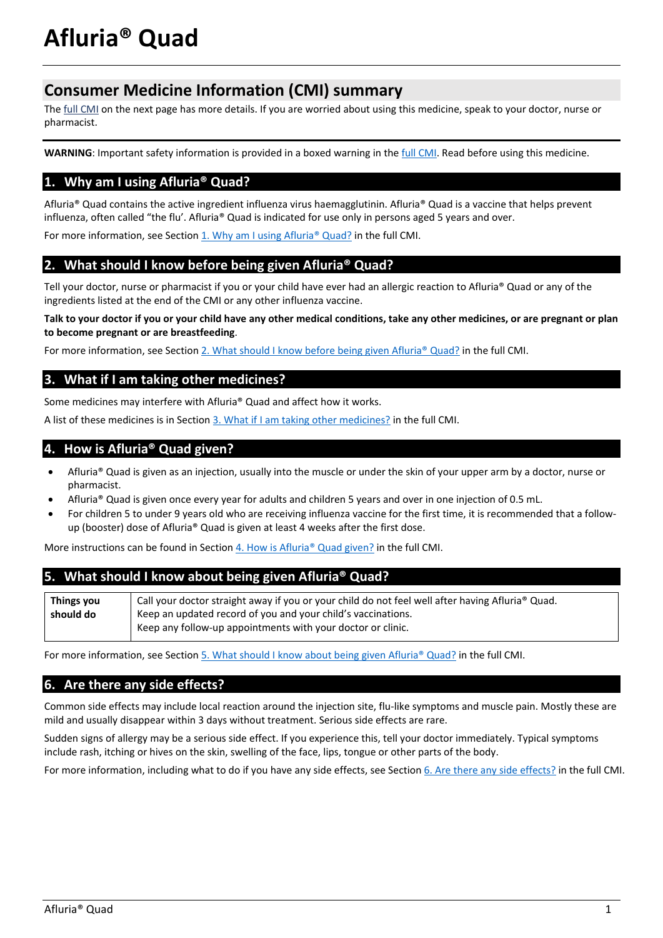# **Consumer Medicine Information (CMI) summary**

The [full CMI](#page-1-0) on the next page has more details. If you are worried about using this medicine, speak to your doctor, nurse or pharmacist.

**WARNING**: Important safety information is provided in a boxed warning in th[e full CMI.](#page-1-1) Read before using this medicine.

# **1. Why am I using Afluria® Quad?**

Afluria® Quad contains the active ingredient influenza virus haemagglutinin. Afluria® Quad is a vaccine that helps prevent influenza, often called "the flu'. Afluria® Quad is indicated for use only in persons aged 5 years and over.

For more information, see Section  $1.$  Why am I using Afluria® Quad? in the full CMI.

# **2. What should I know before being given Afluria® Quad?**

Tell your doctor, nurse or pharmacist if you or your child have ever had an allergic reaction to Afluria® Quad or any of the ingredients listed at the end of the CMI or any other influenza vaccine.

**Talk to your doctor if you or your child have any other medical conditions, take any other medicines, or are pregnant or plan to become pregnant or are breastfeeding**.

For more information, see Sectio[n 2. What should I know before being given Afluria® Quad?](#page-1-2) in the full CMI.

# **3. What if I am taking other medicines?**

Some medicines may interfere with Afluria® Quad and affect how it works.

A list of these medicines is in Section [3. What if I am taking other medicines?](#page-2-0) in the full CMI.

# **4. How is Afluria® Quad given?**

- Afluria® Quad is given as an injection, usually into the muscle or under the skin of your upper arm by a doctor, nurse or pharmacist.
- Afluria® Quad is given once every year for adults and children 5 years and over in one injection of 0.5 mL.
- For children 5 to under 9 years old who are receiving influenza vaccine for the first time, it is recommended that a followup (booster) dose of Afluria® Quad is given at least 4 weeks after the first dose.

More instructions can be found in Section [4. How is Afluria® Quad given?](#page-2-1) in the full CMI.

## **5. What should I know about being given Afluria® Quad?**

| Things you | Call your doctor straight away if you or your child do not feel well after having Afluria® Quad. |  |
|------------|--------------------------------------------------------------------------------------------------|--|
| should do  | Keep an updated record of you and your child's vaccinations.                                     |  |
|            | Keep any follow-up appointments with your doctor or clinic.                                      |  |

For more information, see Section [5. What should I know about](#page-2-2) being given Afluria® Quad? in the full CMI.

# **6. Are there any side effects?**

Common side effects may include local reaction around the injection site, flu-like symptoms and muscle pain. Mostly these are mild and usually disappear within 3 days without treatment. Serious side effects are rare.

Sudden signs of allergy may be a serious side effect. If you experience this, tell your doctor immediately. Typical symptoms include rash, itching or hives on the skin, swelling of the face, lips, tongue or other parts of the body.

For more information, including what to do if you have any side effects, see Section [6. Are there any side effects?](#page-3-0) in the full CMI.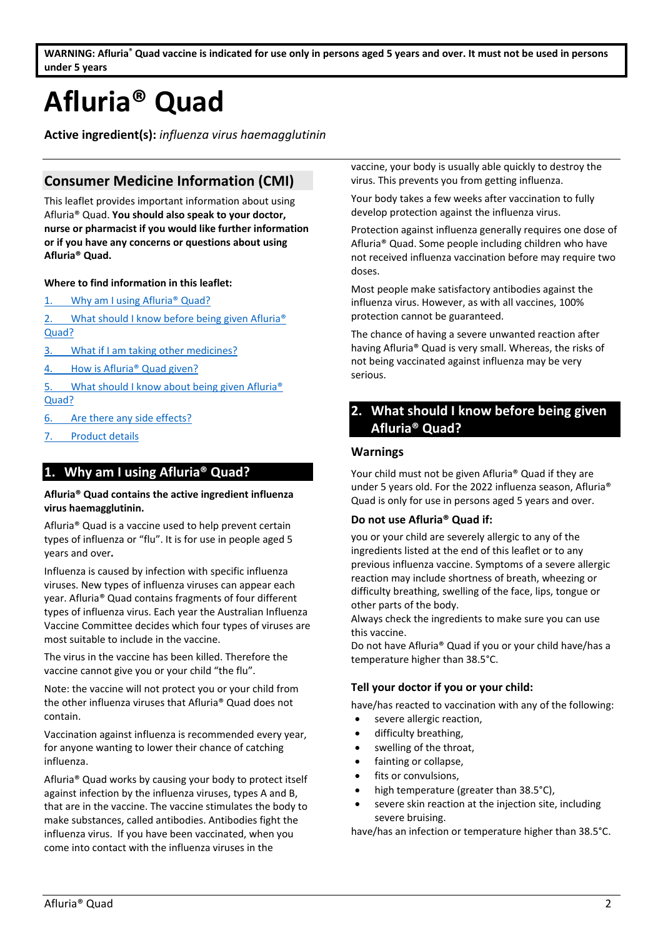<span id="page-1-0"></span>**WARNING: Afluria® Quad vaccine is indicated for use only in persons aged 5 years and over. It must not be used in persons under 5 years** 

# <span id="page-1-1"></span>**Afluria® Quad**

**Active ingredient(s):** *influenza virus haemagglutinin*

# **Consumer Medicine Information (CMI)**

This leaflet provides important information about using Afluria® Quad. **You should also speak to your doctor, nurse or pharmacist if you would like further information or if you have any concerns or questions about using Afluria® Quad.**

#### **Where to find information in this leaflet:**

1. [Why am I using Afluria® Quad?](#page-1-3)

2. What should I know before being given Afluria<sup>®</sup> [Quad?](#page-1-2)

- 3. [What if I am taking other medicines?](#page-2-0)
- 4. How is Afluria<sup>®</sup> Quad given?
- 5. [What should I know about](#page-2-2) being given Afluria<sup>®</sup> [Quad?](#page-2-2)
- 6. [Are there any side effects?](#page-3-0)
- <span id="page-1-3"></span>7. [Product details](#page-3-1)

## **1. Why am I using Afluria® Quad?**

#### **Afluria® Quad contains the active ingredient influenza virus haemagglutinin.**

Afluria® Quad is a vaccine used to help prevent certain types of influenza or "flu". It is for use in people aged 5 years and over**.**

Influenza is caused by infection with specific influenza viruses. New types of influenza viruses can appear each year. Afluria® Quad contains fragments of four different types of influenza virus. Each year the Australian Influenza Vaccine Committee decides which four types of viruses are most suitable to include in the vaccine.

The virus in the vaccine has been killed. Therefore the vaccine cannot give you or your child "the flu".

Note: the vaccine will not protect you or your child from the other influenza viruses that Afluria® Quad does not contain.

Vaccination against influenza is recommended every year, for anyone wanting to lower their chance of catching influenza.

Afluria® Quad works by causing your body to protect itself against infection by the influenza viruses, types A and B, that are in the vaccine. The vaccine stimulates the body to make substances, called antibodies. Antibodies fight the influenza virus. If you have been vaccinated, when you come into contact with the influenza viruses in the

vaccine, your body is usually able quickly to destroy the virus. This prevents you from getting influenza.

Your body takes a few weeks after vaccination to fully develop protection against the influenza virus.

Protection against influenza generally requires one dose of Afluria® Quad. Some people including children who have not received influenza vaccination before may require two doses.

Most people make satisfactory antibodies against the influenza virus. However, as with all vaccines, 100% protection cannot be guaranteed.

The chance of having a severe unwanted reaction after having Afluria® Quad is very small. Whereas, the risks of not being vaccinated against influenza may be very serious.

# <span id="page-1-2"></span>**2. What should I know before being given Afluria® Quad?**

#### **Warnings**

Your child must not be given Afluria® Quad if they are under 5 years old. For the 2022 influenza season, Afluria® Quad is only for use in persons aged 5 years and over.

#### **Do not use Afluria® Quad if:**

you or your child are severely allergic to any of the ingredients listed at the end of this leaflet or to any previous influenza vaccine. Symptoms of a severe allergic reaction may include shortness of breath, wheezing or difficulty breathing, swelling of the face, lips, tongue or other parts of the body.

Always check the ingredients to make sure you can use this vaccine.

Do not have Afluria® Quad if you or your child have/has a temperature higher than 38.5°C.

#### **Tell your doctor if you or your child:**

have/has reacted to vaccination with any of the following:

- severe allergic reaction.
- difficulty breathing,
- swelling of the throat,
- fainting or collapse,
- fits or convulsions.
- high temperature (greater than 38.5°C),
- severe skin reaction at the injection site, including severe bruising.

have/has an infection or temperature higher than 38.5°C.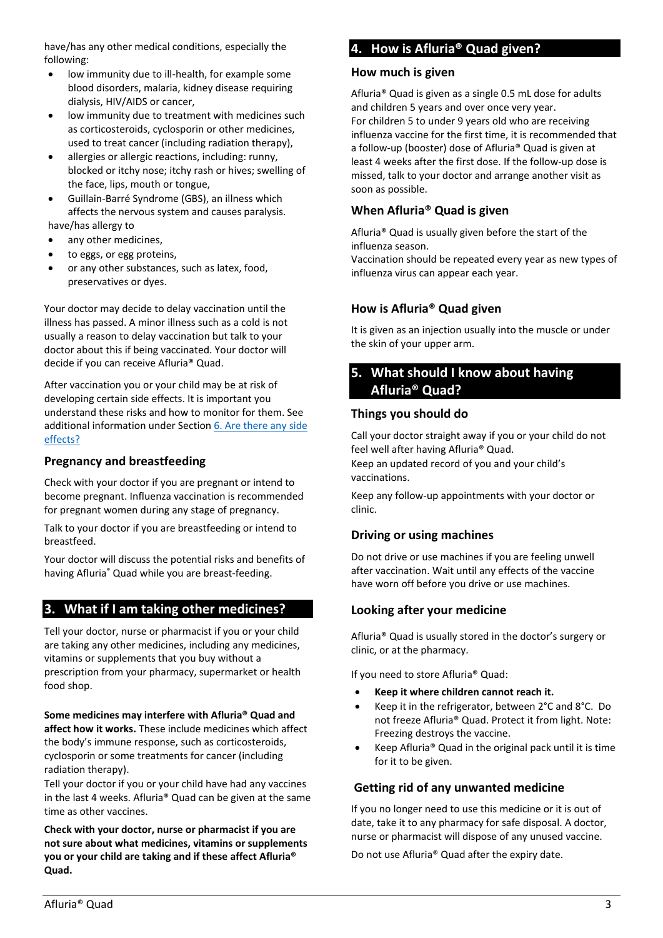have/has any other medical conditions, especially the following:

- low immunity due to ill-health, for example some blood disorders, malaria, kidney disease requiring dialysis, HIV/AIDS or cancer,
- low immunity due to treatment with medicines such as corticosteroids, cyclosporin or other medicines, used to treat cancer (including radiation therapy),
- allergies or allergic reactions, including: runny, blocked or itchy nose; itchy rash or hives; swelling of the face, lips, mouth or tongue,
- Guillain-Barré Syndrome (GBS), an illness which affects the nervous system and causes paralysis.

have/has allergy to

- any other medicines,
- to eggs, or egg proteins,
- or any other substances, such as latex, food, preservatives or dyes.

Your doctor may decide to delay vaccination until the illness has passed. A minor illness such as a cold is not usually a reason to delay vaccination but talk to your doctor about this if being vaccinated. Your doctor will decide if you can receive Afluria® Quad.

After vaccination you or your child may be at risk of developing certain side effects. It is important you understand these risks and how to monitor for them. See additional information under Section [6. Are there any side](#page-3-0)  [effects?](#page-3-0)

## **Pregnancy and breastfeeding**

Check with your doctor if you are pregnant or intend to become pregnant. Influenza vaccination is recommended for pregnant women during any stage of pregnancy.

Talk to your doctor if you are breastfeeding or intend to breastfeed.

Your doctor will discuss the potential risks and benefits of having Afluria® Quad while you are breast-feeding.

# <span id="page-2-0"></span>**3. What if I am taking other medicines?**

Tell your doctor, nurse or pharmacist if you or your child are taking any other medicines, including any medicines, vitamins or supplements that you buy without a prescription from your pharmacy, supermarket or health food shop.

**Some medicines may interfere with Afluria® Quad and affect how it works.** These include medicines which affect the body's immune response, such as corticosteroids, cyclosporin or some treatments for cancer (including radiation therapy).

Tell your doctor if you or your child have had any vaccines in the last 4 weeks. Afluria® Quad can be given at the same time as other vaccines.

**Check with your doctor, nurse or pharmacist if you are not sure about what medicines, vitamins or supplements you or your child are taking and if these affect Afluria® Quad.**

# <span id="page-2-1"></span>**4. How is Afluria® Quad given?**

#### **How much is given**

Afluria® Quad is given as a single 0.5 mL dose for adults and children 5 years and over once very year. For children 5 to under 9 years old who are receiving influenza vaccine for the first time, it is recommended that a follow-up (booster) dose of Afluria® Quad is given at least 4 weeks after the first dose. If the follow-up dose is missed, talk to your doctor and arrange another visit as soon as possible.

## **When Afluria® Quad is given**

Afluria® Quad is usually given before the start of the influenza season.

Vaccination should be repeated every year as new types of influenza virus can appear each year.

# **How is Afluria® Quad given**

It is given as an injection usually into the muscle or under the skin of your upper arm.

# <span id="page-2-2"></span>**5. What should I know about having Afluria® Quad?**

## **Things you should do**

Call your doctor straight away if you or your child do not feel well after having Afluria® Quad.

Keep an updated record of you and your child's vaccinations.

Keep any follow-up appointments with your doctor or clinic.

# **Driving or using machines**

Do not drive or use machines if you are feeling unwell after vaccination. Wait until any effects of the vaccine have worn off before you drive or use machines.

## **Looking after your medicine**

Afluria® Quad is usually stored in the doctor's surgery or clinic, or at the pharmacy.

If you need to store Afluria® Quad:

- **Keep it where children cannot reach it.**
- Keep it in the refrigerator, between 2°C and 8°C. Do not freeze Afluria® Quad. Protect it from light. Note: Freezing destroys the vaccine.
- Keep Afluria® Quad in the original pack until it is time for it to be given.

# **Getting rid of any unwanted medicine**

If you no longer need to use this medicine or it is out of date, take it to any pharmacy for safe disposal. A doctor, nurse or pharmacist will dispose of any unused vaccine.

Do not use Afluria® Quad after the expiry date.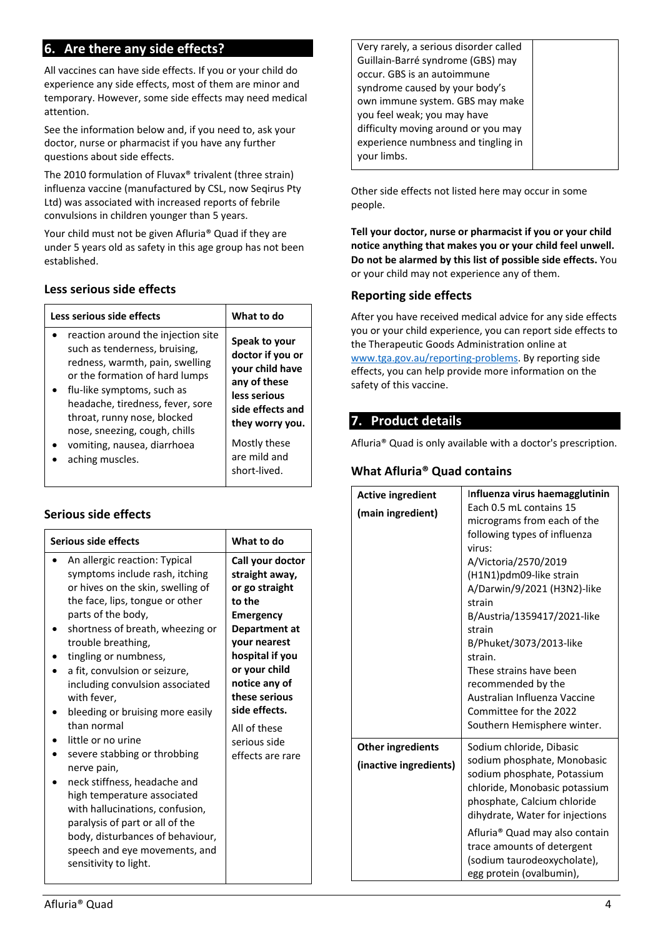# <span id="page-3-0"></span>**6. Are there any side effects?**

All vaccines can have side effects. If you or your child do experience any side effects, most of them are minor and temporary. However, some side effects may need medical attention.

See the information below and, if you need to, ask your doctor, nurse or pharmacist if you have any further questions about side effects.

The 2010 formulation of Fluvax® trivalent (three strain) influenza vaccine (manufactured by CSL, now Seqirus Pty Ltd) was associated with increased reports of febrile convulsions in children younger than 5 years.

Your child must not be given Afluria® Quad if they are under 5 years old as safety in this age group has not been established.

|  | Less serious side effects |  |  |
|--|---------------------------|--|--|
|--|---------------------------|--|--|

| Less serious side effects          | What to do       |
|------------------------------------|------------------|
| reaction around the injection site | Speak to your    |
| such as tenderness, bruising,      | doctor if you or |
| redness, warmth, pain, swelling    | your child have  |
| or the formation of hard lumps     | any of these     |
| flu-like symptoms, such as         | less serious     |
| headache, tiredness, fever, sore   | side effects and |
| throat, runny nose, blocked        | they worry you.  |
| nose, sneezing, cough, chills      | Mostly these     |
| vomiting, nausea, diarrhoea        | are mild and     |
| aching muscles.                    | short-lived.     |

# **Serious side effects**

| Serious side effects                                                                                                                                                                                                                                                                                                                                                    | What to do                                                                                                                                                                                                 |
|-------------------------------------------------------------------------------------------------------------------------------------------------------------------------------------------------------------------------------------------------------------------------------------------------------------------------------------------------------------------------|------------------------------------------------------------------------------------------------------------------------------------------------------------------------------------------------------------|
| An allergic reaction: Typical<br>symptoms include rash, itching<br>or hives on the skin, swelling of<br>the face, lips, tongue or other<br>parts of the body,<br>shortness of breath, wheezing or<br>trouble breathing,<br>tingling or numbness,<br>a fit, convulsion or seizure,<br>including convulsion associated<br>with fever,<br>bleeding or bruising more easily | Call your doctor<br>straight away,<br>or go straight<br>to the<br><b>Emergency</b><br>Department at<br>vour nearest<br>hospital if you<br>or your child<br>notice any of<br>these serious<br>side effects. |
| than normal<br>little or no urine<br>severe stabbing or throbbing<br>nerve pain,<br>neck stiffness, headache and<br>high temperature associated<br>with hallucinations, confusion,<br>paralysis of part or all of the<br>body, disturbances of behaviour,<br>speech and eye movements, and<br>sensitivity to light.                                                     | All of these<br>serious side<br>effects are rare                                                                                                                                                           |

Very rarely, a serious disorder called Guillain-Barré syndrome (GBS) may occur. GBS is an autoimmune syndrome caused by your body's own immune system. GBS may make you feel weak; you may have difficulty moving around or you may experience numbness and tingling in your limbs.

Other side effects not listed here may occur in some people.

**Tell your doctor, nurse or pharmacist if you or your child notice anything that makes you or your child feel unwell. Do not be alarmed by this list of possible side effects.** You or your child may not experience any of them.

## **Reporting side effects**

After you have received medical advice for any side effects you or your child experience, you can report side effects to the Therapeutic Goods Administration online at [www.tga.gov.au/reporting-problems.](http://www.tga.gov.au/reporting-problems) By reporting side effects, you can help provide more information on the safety of this vaccine.

# <span id="page-3-1"></span>**7. Product details**

Afluria® Quad is only available with a doctor's prescription.

## **What Afluria® Quad contains**

|                                                    | <b>Active ingredient</b><br>(main ingredient) | Influenza virus haemagglutinin<br>Each 0.5 mL contains 15<br>micrograms from each of the<br>following types of influenza<br>virus:<br>A/Victoria/2570/2019<br>(H1N1)pdm09-like strain<br>A/Darwin/9/2021 (H3N2)-like<br>strain<br>B/Austria/1359417/2021-like<br>strain<br>B/Phuket/3073/2013-like<br>strain.<br>These strains have been |
|----------------------------------------------------|-----------------------------------------------|------------------------------------------------------------------------------------------------------------------------------------------------------------------------------------------------------------------------------------------------------------------------------------------------------------------------------------------|
|                                                    |                                               | recommended by the<br>Australian Influenza Vaccine<br>Committee for the 2022                                                                                                                                                                                                                                                             |
|                                                    |                                               | Southern Hemisphere winter.                                                                                                                                                                                                                                                                                                              |
| <b>Other ingredients</b><br>(inactive ingredients) |                                               | Sodium chloride, Dibasic<br>sodium phosphate, Monobasic<br>sodium phosphate, Potassium<br>chloride, Monobasic potassium<br>phosphate, Calcium chloride<br>dihydrate, Water for injections                                                                                                                                                |
|                                                    |                                               | Afluria® Quad may also contain<br>trace amounts of detergent<br>(sodium taurodeoxycholate),<br>egg protein (ovalbumin),                                                                                                                                                                                                                  |